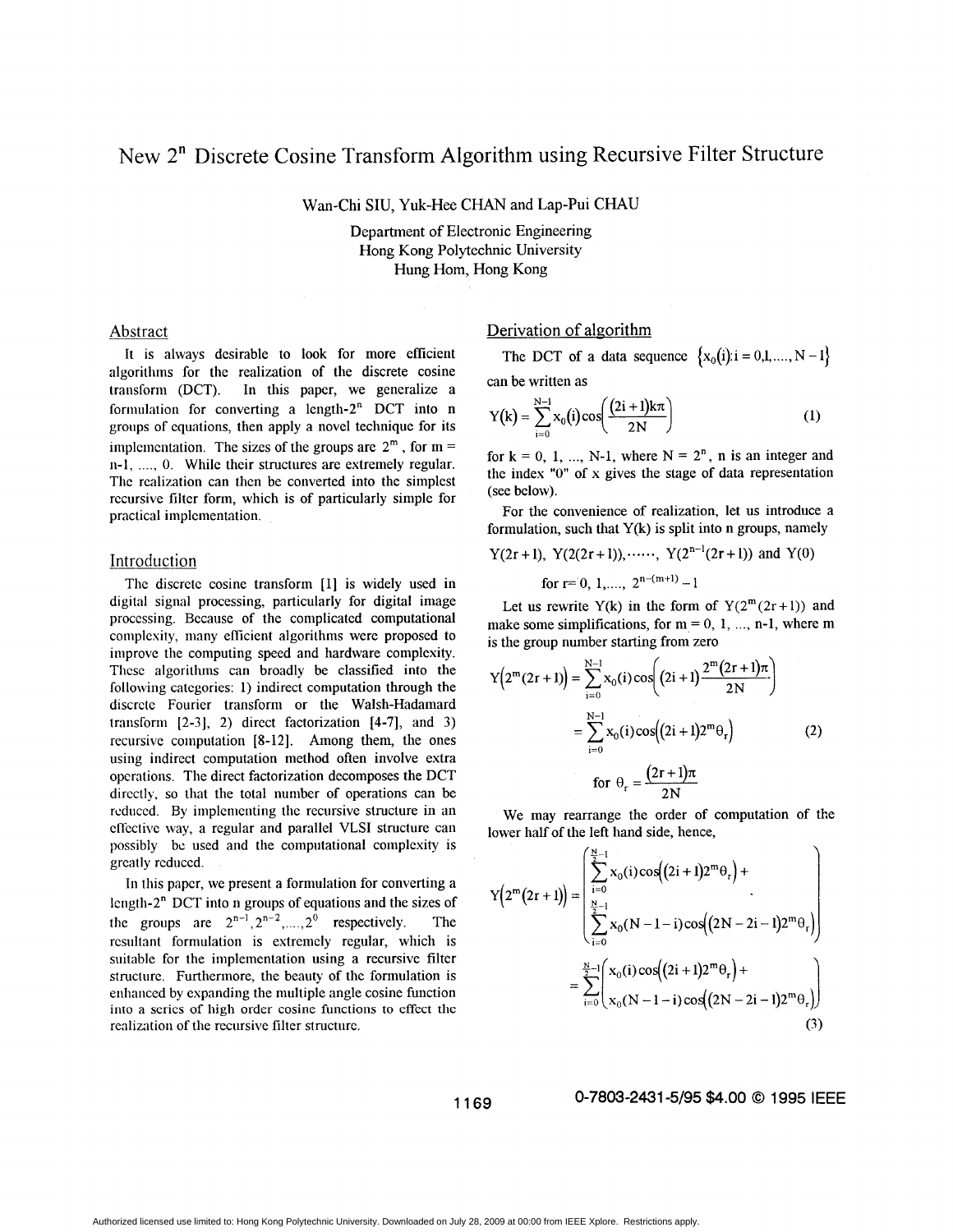# New 2" Discrete Cosine Transform Algorithm using Recursive Filter Structure

Wan-Chi **SIU,** Yuk-Hee CHAN and Lap-Pui CHAU

Department of Electronic Engineering Hong Kong Polytechnic University Hung Hom, Hong Kong

## Abstract

It is always desirable to look for more efficient algorithms for the realization of the discrete cosine transform (DCT). In this paper, we generalize a formulation for converting a length- $2<sup>n</sup>$  DCT into n groups of equations, then apply a novel technique for its implementation. The sizes of the groups are  $2^m$ , for m = n-1, ..., 0. While their structures are extremely regular. The realization can then be converted into the simplest recursive filter form, which is of particularly simple for practical implementation.

# Introduction

The discrete cosine transform [1] is widely used in digital signal processing, particularly for digital image processing. Because of the complicated computational complexity, many eflicient algorithms were proposed to improve the computing speed and hardware complexity. These algorithms can broadly be classified into the following categories: 1) indirect computation through the discrete Fourier transform or the Walsh-Hadamard transform  $[2-3]$ , 2) direct factorization  $[4-7]$ , and 3) recursive computation [S-121. Among them, the ones using indirect computation method often involve extra operations. The direct factorization decomposes the DCT directly, so that the total number of operations can be reduced. By implementing the recursive structure in an effective way, a regular and parallel VLSI structure can possibly be used and the computational complexity is greatly reduced.

In this papcr, we present a formulation for converting a length- $2<sup>n</sup>$  DCT into n groups of equations and the sizes of the groups are  $2^{n-1}$ ,  $2^{n-2}$ ,  $2^0$  respectively. The resultant formulation is extremely regular, which is suitable for the implementation using a recursive filter structure. Furthermore, the beauty of the formulation is enhanced by expanding the multiple angle cosine function **into a series of high** order **cosine functions to effect the**  realization of the recursive filter structure.

# Derivation of algorithm

The DCT of a data sequence  $\{x_0(i): i = 0, 1, ..., N - 1\}$ can be written as

$$
Y(k) = \sum_{i=0}^{N-1} x_0(i) \cos\left(\frac{(2i+1)k\pi}{2N}\right)
$$
 (1)

for  $k = 0, 1, ..., N-1$ , where  $N = 2<sup>n</sup>$ , n is an integer and the index **"0"** of x gives the stage of data representation (see below).

For the convenience of realization, let us introduce a formulation, such that  $Y(k)$  is split into n groups, namely

Y(2r + I), Y(2(2r + I)),......, Y(2"-'(2r + **1))** and Y(0) for **I=** 0, I ,... ., 2n-(m 'I) - <sup>I</sup>

Let us rewrite Y(k) in the form of  $Y(2^m(2r+1))$  and make some simplifications, for  $m = 0, 1, \dots, n-1$ , where m is the group number starting from zero

$$
Y(2^{m}(2r+1)) = \sum_{i=0}^{N-1} x_0(i) \cos \left((2i+1) \frac{2^{m}(2r+1)\pi}{2N}\right)
$$
  
= 
$$
\sum_{i=0}^{N-1} x_0(i) \cos \left((2i+1)2^{m}\theta_r\right)
$$
 (2)  
for  $\theta_r = \frac{(2r+1)\pi}{2N}$ 

We may rearrange the order of computation of the lower half of the left hand side, hence,

$$
Y(2^{m}(2r+1)) = \begin{pmatrix} \sum_{i=0}^{N-1} x_0(i) \cos((2i+1)2^{m}\theta_r) + \\ \sum_{i=0}^{N-1} x_0(N-1-i) \cos((2N-2i-1)2^{m}\theta_r) \end{pmatrix}
$$

$$
= \sum_{i=0}^{N-1} \begin{pmatrix} x_0(i) \cos((2i+1)2^{m}\theta_r) + \\ x_0(N-1-i) \cos((2N-2i-1)2^{m}\theta_r) \end{pmatrix}
$$
(3)

**<sup>1169</sup>0-7803-2431 -5/95 \$4.00** *0* **<sup>1995</sup>**IEEE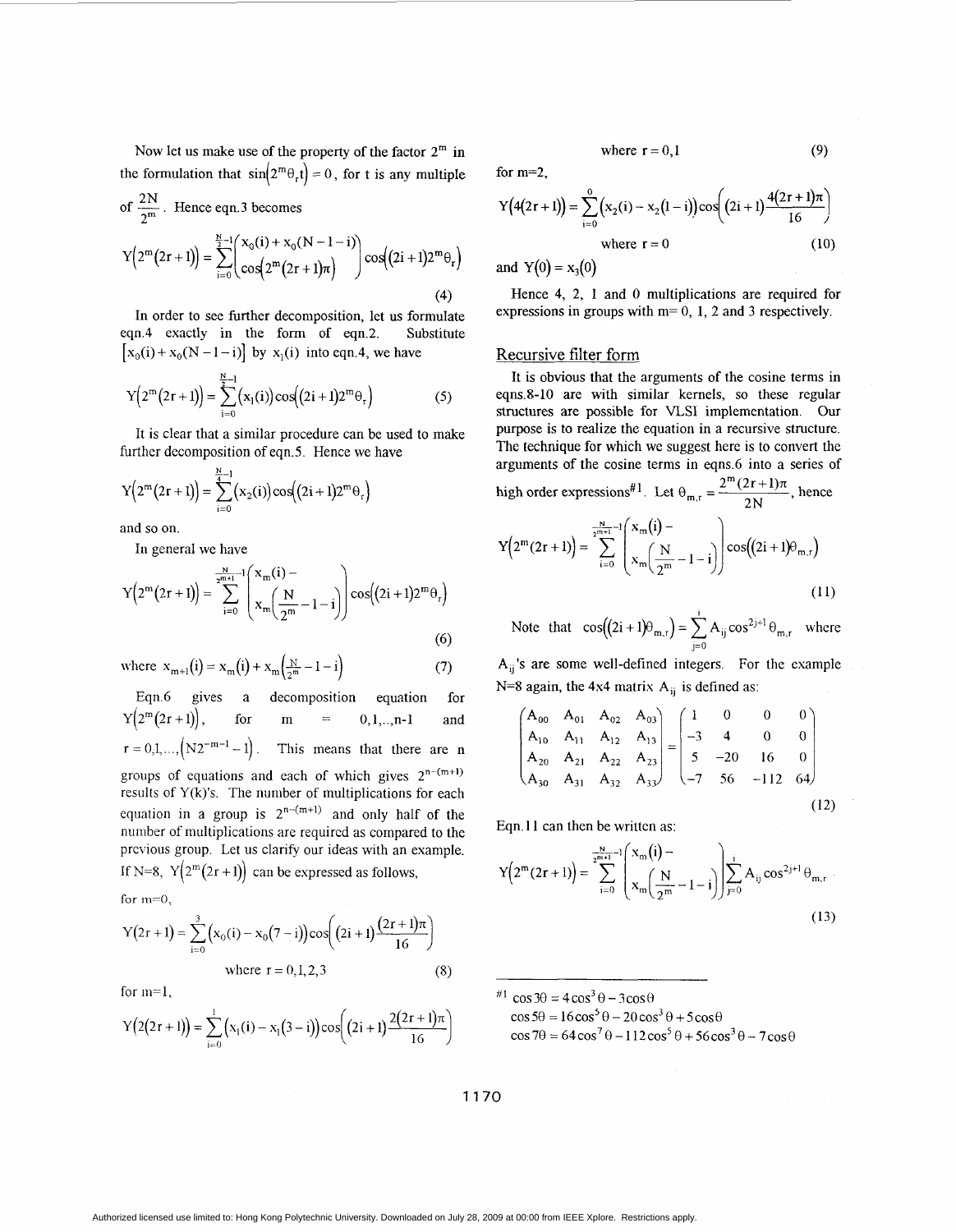Now let us make use of the property of the factor  $2^m$  in the formulation that  $sin(2^m \theta_r t) = 0$ , for t is any multiple Now let us make use of the p<br>the formulation that  $sin(2^m \theta_r t)$ <br>of  $\frac{2N}{2^m}$ . Hence eqn.3 becomes

of 
$$
\frac{2N}{2^m}
$$
. Hence eqn.3 becomes  
\n
$$
Y(2^m(2r+1)) = \sum_{i=0}^{\frac{N}{2}-1} {x_0(i) + x_0(N-1-i) \choose cos(2^m(2r+1)\pi)} cos((2i+1)2^m\theta_r)
$$
\n(4)

In order to see further decomposition, let us formulate eqn.4 exactly in the form of eqn.2. Substitute  $[x_0(i) + x_0(N - 1 - i)]$  by  $x_1(i)$  into eqn.4, we have

$$
Y(2^{m}(2r+1)) = \sum_{i=0}^{\frac{N}{2}-1} (x_1(i)) \cos((2i+1)2^{m}\theta_r)
$$
 (5)

It is clear that a similar procedure can be used to make further decomposition of eqn.5. Hence we have

$$
Y(2^{m}(2r+1)) = \sum_{i=0}^{\frac{N}{4}-1} (x_2(i)) \cos((2i+1)2^{m}\theta_r)
$$

and so on.

In general we have

$$
Y(2^{m}(2r+1)) = \sum_{i=0}^{\lfloor \frac{N}{2^{m+1}} \rfloor} \binom{x_m(i) - x_m\left(\frac{N}{2^m} - 1 - i\right)}{x_m\left(\frac{N}{2^m} - 1 - i\right)} \cos((2i+1)2^{m}\theta_r)
$$
(6)

where 
$$
x_{m+1}(i) = x_m(i) + x_m(\frac{N}{2^m} - 1 - i)
$$
 (7)

Eqn.6 gives a decomposition equation for  $Y(2^m(2r+1)),$  for m = 0,1,..,n-1 and  $r = 0, 1, \ldots, (N2^{-m-1} - 1)$ . This means that there are n groups of equations and each of which gives  $2^{n-(m+1)}$ results of  $Y(k)$ 's. The number of multiplications for each equation in a group is  $2^{n-(m+1)}$  and only half of the number of multiplications are required as compared to the previous group. Let us clarify our ideas with an example. If N=8,  $Y(2^m(2r+1))$  can be expressed as follows,

for  $m=0$ ,

$$
Y(2r+1) = \sum_{i=0}^{3} (x_0(i) - x_0(7-i)) \cos\left((2i+1)\frac{(2r+1)\pi}{16}\right)
$$
  
where  $r = 0,1,2,3$  (8)

for m=l,

$$
Y(2(2r+1)) = \sum_{i=0}^{1} (x_1(i) - x_1(3-i)) \cos\left((2i+1)\frac{2(2r+1)\pi}{16}\right)
$$

where  $r = 0.1$ 

for m=2,

$$
Y(4(2r+1)) = \sum_{i=0}^{0} (x_2(i) - x_2(1-i)) \cos\left((2i+1)\frac{4(2r+1)\pi}{16}\right)
$$
  
where  $r = 0$  (10)

and  $Y(0) = x_3(0)$ 

Hence **4,** 2, 1 and *0* multiplications are required for expressions in groups with m= 0, 1, 2 and **3** respectively.

## Recursive filter form

It is obvious that the arguments of the cosine terms in eqns.8-10 are with similar kernels, so these regular structures are possible for VLSI implementation. Our purpose is to realize the equation in a recursive structure. The technique for which we suggest here is to convert the arguments of the cosine terms in eqns.6 into a series of high order expressions<sup>#1</sup> Let  $\theta = \frac{2^m (2r + 1)\pi}{r}$  hence

$$
Y(2^{m}(2r+1)) = \sum_{i=0}^{\frac{N}{2^{m+1}}-1} \left(\frac{x_m(i)-1}{x_m\left(\frac{N}{2^m}-1-i\right)}\right) \cos((2i+1)\theta_{m,r})
$$
\n(11)

Note that  $cos((2i+1)\theta_{m,r}) = \sum_{j=0}^{i} A_{ij} cos^{2j+1} \theta_{m,r}$  where

 $A_{ii}$ 's are some well-defined integers. For the example N=8 again, the  $4x4$  matrix  $A_{ij}$  is defined as:

$$
\begin{pmatrix}\nA_{00} & A_{01} & A_{02} & A_{03} \\
A_{10} & A_{11} & A_{12} & A_{13} \\
A_{20} & A_{21} & A_{22} & A_{23} \\
A_{30} & A_{31} & A_{32} & A_{33}\n\end{pmatrix} = \begin{pmatrix}\n1 & 0 & 0 & 0 \\
-3 & 4 & 0 & 0 \\
5 & -20 & 16 & 0 \\
-7 & 56 & -112 & 64\n\end{pmatrix}
$$
\n(12)

Eqn. 11 can then be written as:

$$
Y(2^{m}(2r+1)) = \sum_{i=0}^{-\frac{N}{2^{m+1}}-1} \left( \frac{x_m(i)-1}{x_m\left(\frac{N}{2^m}-1-i\right)} \right) \sum_{j=0}^{i} A_{ij} \cos^{2j+1} \theta_{m,r}
$$
(13)

<sup>#1</sup> cos  $3\theta = 4\cos^3\theta - 3\cos\theta$  $\cos 5\theta = 16\cos^5 \theta - 20\cos^3 \theta + 5\cos \theta$  $\cos 7\theta = 64\cos^7\theta - 112\cos^5\theta + 56\cos^3\theta - 7\cos\theta$ 

**If70** 

Authorized licensed use limited to: Hong Kong Polytechnic University. Downloaded on July 28, 2009 at 00:00 from IEEE Xplore. Restrictions apply.

**(9)**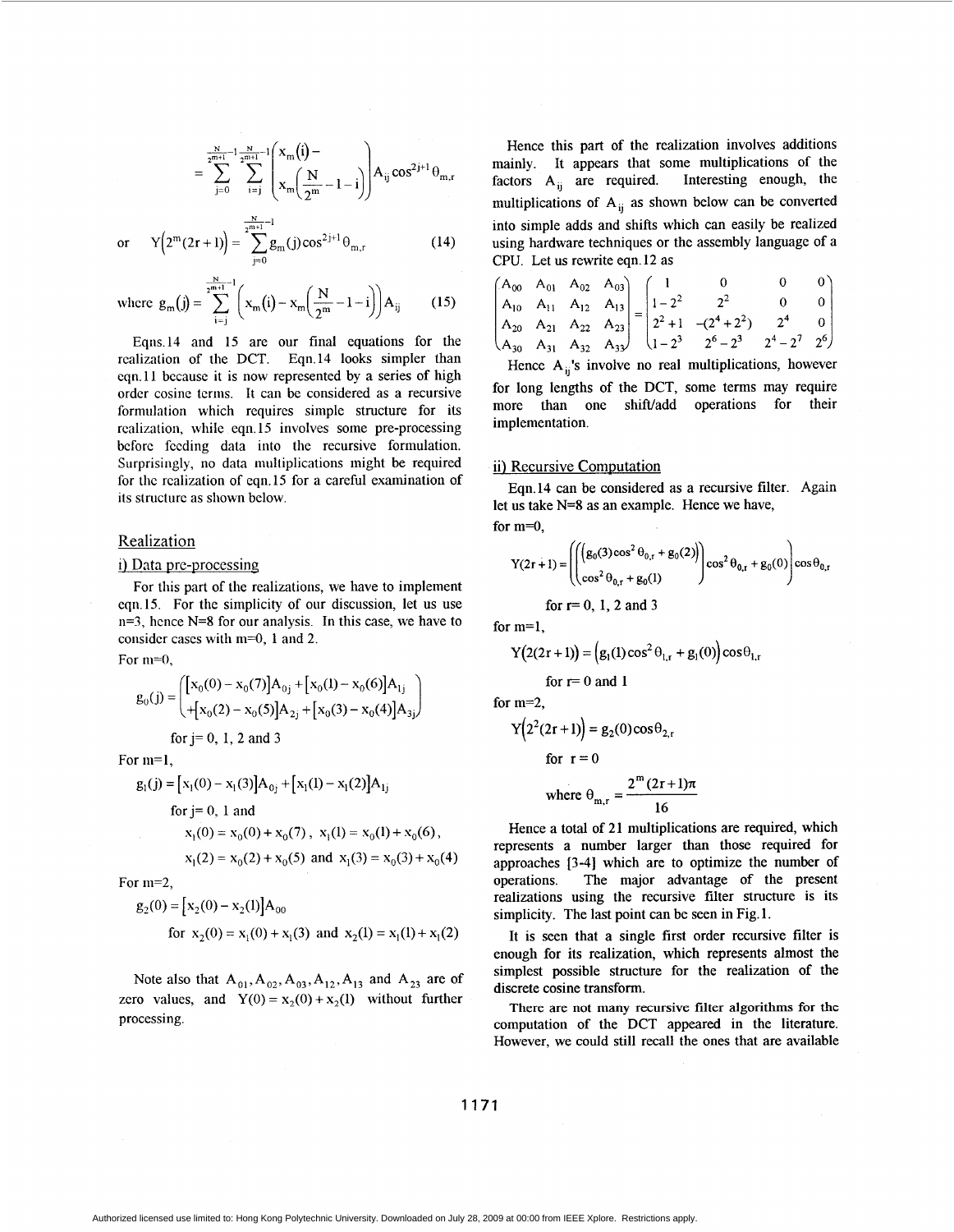$$
= \sum_{j=0}^{\frac{N}{2^{m+1}}-1} \sum_{i=j}^{\frac{N}{2^{m+1}}-1} \left( \frac{x_m\left(i\right)-}{x_m\left(\frac{N}{2^m}-1-i\right)} \right) A_{ij} \, cos^{2j+1}\theta_{m,r}
$$

or 
$$
Y(2^m(2r+1)) = \sum_{j=0}^{2^{m+1}-1} g_m(j) \cos^{2j+1} \theta_{m,r}
$$
 (14)

 $N = 1$ 

where 
$$
g_m(j) = \sum_{i=j}^{\frac{m+1}{2^{m+1}}-1} \left( x_m(i) - x_m \left( \frac{N}{2^m} - 1 - i \right) \right) A_{ij}
$$
 (15)

Eqns.14 and 15 are our final equations for the realization of the DCT. Eqn.14 looks simpler than eqn.11 because it is now represented by a series of high order cosine terms. It can be considered as a recursive formulation which requires simple structure for its realization, while eqn. 15 involves some pre-processing before feeding data into the recursive formulation. Surprisingly, no data multiplications might be required for the realization of eqn.15 for a careful examination of its structure as shown below.

## Realization

## i) Data pre-processing

For this part of the realizations, we have to implement eqn.15. For the simplicity of our discussion, let us use n=3, hence **N=8** for our analysis. In this case, we have to consider cases with  $m=0$ , 1 and 2.

For **m=O,** 

$$
g_0(j) = \begin{pmatrix} [x_0(0) - x_0(7)]A_{0j} + [x_0(1) - x_0(6)]A_{1j} \\ + [x_0(2) - x_0(5)]A_{2j} + [x_0(3) - x_0(4)]A_{3j} \end{pmatrix}
$$

for  $j=0, 1, 2$  and 3

For **m=1,** 

$$
g_1(j) = [x_1(0) - x_1(3)]A_{0j} + [x_1(1) - x_1(2)]A_{1j}
$$
  
for j = 0, 1 and  

$$
x_1(0) = x_0(0) + x_0(7), x_1(1) = x_0(1) + x_0(6),
$$

$$
x_1(2) = x_0(2) + x_0(5) \text{ and } x_1(3) = x_0(3) + x_0(4)
$$

For m=2,

$$
g_2(0) = [x_2(0) - x_2(1)]A_{00}
$$
  
for x<sub>2</sub>(0) = x<sub>1</sub>(0) + x<sub>1</sub>(3) and x<sub>2</sub>(1) = x<sub>1</sub>(1) + x<sub>1</sub>(2)

Note also that  $A_{01}$ ,  $A_{02}$ ,  $A_{03}$ ,  $A_{12}$ ,  $A_{13}$  and  $A_{23}$  are of zero values, and  $Y(0) = x_2(0) + x_2(1)$  without further processing.

Hence this part of the realization involves additions mainly. It appears that some multiplications of the factors  $A_{ii}$  are required. Interesting enough, the multiplications of  $A_{ij}$  as shown below can be converted into simple adds and shifts which can easily be realized using hardware techniques or the assembly language of a CPU. Let us rewrite eqn. 12 as

$$
\begin{pmatrix}\nA_{00} & A_{01} & A_{02} & A_{03} \\
A_{10} & A_{11} & A_{12} & A_{13} \\
A_{20} & A_{21} & A_{22} & A_{23} \\
A_{30} & A_{31} & A_{32} & A_{33}\n\end{pmatrix} =\n\begin{pmatrix}\n1 & 0 & 0 & 0 \\
1-2^2 & 2^2 & 0 & 0 \\
2^2+1 & -(2^4+2^2) & 2^4 & 0 \\
1-2^3 & 2^6-2^3 & 2^4-2^7 & 2^6\n\end{pmatrix}
$$

Hence  $A_{ii}$ 's involve no real multiplications, however for long lengths of the DCT, some terms may require more than one shift/add operations for their implementation.

### ii) Recursive Computation

let us take **N=8** as an example. Hence we have, for m=O, Eqn.14 can be considered as a recursive filter. Again

$$
Y(2r + 1) = \left( \left( \left( g_0(3) \cos^2 \theta_{0,r} + g_0(2) \right) \right) \cos^2 \theta_{0,r} + g_0(0) \right) \cos \theta_{0,r}
$$
  
for r = 0, 1, 2 and 3

for  $m=1$ .

$$
Y(2(2r+1)) = (g_1(1)\cos^2{\theta_{1,r}} + g_1(0))\cos{\theta_{1,r}}
$$

for 
$$
r=0
$$
 and 1

for  $m=2$ ,

$$
Y(22(2r+1)) = g2(0)cos\theta2,r
$$
  
for r = 0  
where  $\theta_{m,r} = \frac{2m(2r+1)\pi}{16}$ 

Hence a total of 21 multiplications are required, which represents a number larger than those required for approaches [3-41 which are to optimize the number of operations. The major advantage of the present realizations using the recursive filter structure is its simplicity. The last point can be seen in Fig. 1.

It is seen that a single first order recursive filter is enough for its realization, which represents almost the simplest possible structure for the realization of the discrete cosine transform.

There **are not many recursive filter algorithms for the**  computation of the DCT appeared in the literature. However, we could still recall the ones that are available